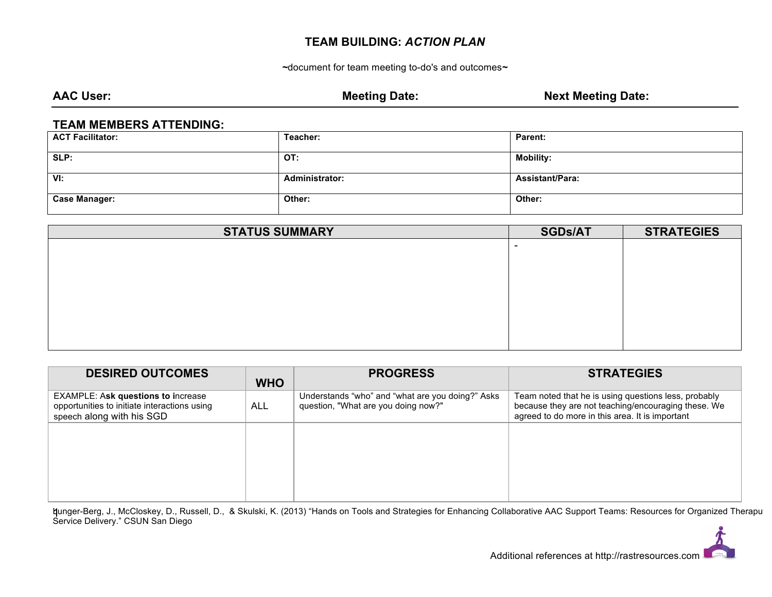# **TEAM BUILDING:** *ACTION PLAN*

*~*document for team meeting to-do's and outcomes*~*

AAC User: **Meeting Date:** Meeting Date: **Next Meeting Date:** Next Meeting Date:

#### **TEAM MEMBERS ATTENDING:**

| <b>ACT Facilitator:</b> | Teacher:       | Parent:                |
|-------------------------|----------------|------------------------|
| SLP:                    | OT:            | <b>Mobility:</b>       |
| VI:                     | Administrator: | <b>Assistant/Para:</b> |
| <b>Case Manager:</b>    | Other:         | Other:                 |

| <b>STATUS SUMMARY</b> | <b>SGDs/AT</b>           | <b>STRATEGIES</b> |
|-----------------------|--------------------------|-------------------|
|                       | $\overline{\phantom{0}}$ |                   |
|                       |                          |                   |
|                       |                          |                   |
|                       |                          |                   |
|                       |                          |                   |
|                       |                          |                   |
|                       |                          |                   |
|                       |                          |                   |

| <b>DESIRED OUTCOMES</b>                                                                                                | <b>WHO</b> | <b>PROGRESS</b>                                                                         | <b>STRATEGIES</b>                                                                                                                                              |
|------------------------------------------------------------------------------------------------------------------------|------------|-----------------------------------------------------------------------------------------|----------------------------------------------------------------------------------------------------------------------------------------------------------------|
| <b>EXAMPLE: Ask questions to increase</b><br>opportunities to initiate interactions using<br>speech along with his SGD | ALL        | Understands "who" and "what are you doing?" Asks<br>question, "What are you doing now?" | Team noted that he is using questions less, probably<br>because they are not teaching/encouraging these. We<br>agreed to do more in this area. It is important |
|                                                                                                                        |            |                                                                                         |                                                                                                                                                                |
|                                                                                                                        |            |                                                                                         |                                                                                                                                                                |
|                                                                                                                        |            |                                                                                         |                                                                                                                                                                |

Lunger-Berg, J., McCloskey, D., Russell, D., & Skulski, K. (2013) "Hands on Tools and Strategies for Enhancing Collaborative AAC Support Teams: Resources for Organized Theraputic **q**unger-Berg, J., McCloskey, D., Ru:<br>Service Delivery." CSUN San Diego

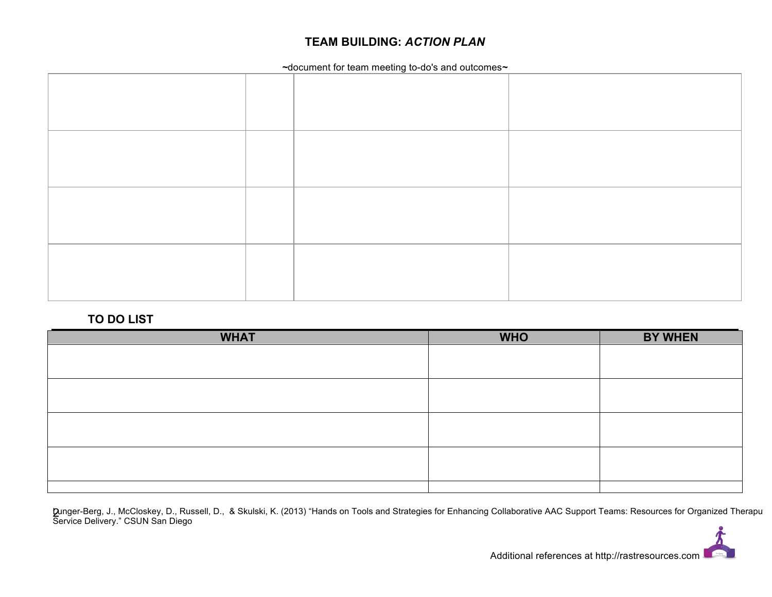# **TEAM BUILDING:** *ACTION PLAN*

*~*document for team meeting to-do's and outcomes*~*

### **TO DO LIST**

| <b>WHAT</b> | <b>WHO</b> | <b>BY WHEN</b> |
|-------------|------------|----------------|
|             |            |                |
|             |            |                |
|             |            |                |
|             |            |                |
|             |            |                |
|             |            |                |
|             |            |                |
|             |            |                |
|             |            |                |

Lunger-Berg, J., McCloskey, D., Russell, D., & Skulski, K. (2013) "Hands on Tools and Strategies for Enhancing Collaborative AAC Support Teams: Resources for Organized Theraputic **D**unger-Berg, J., McCloskey, D., Ru:<br>Service Delivery." CSUN San Diego